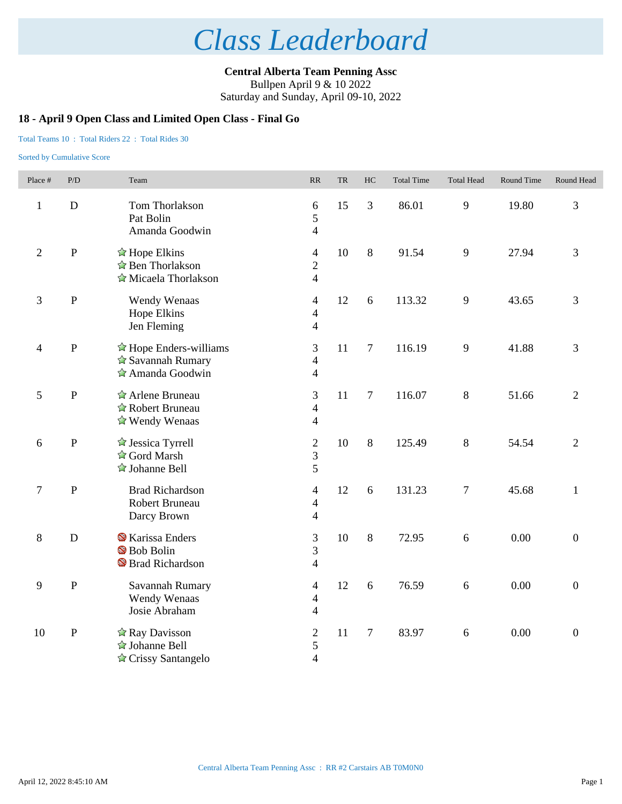**Central Alberta Team Penning Assc** Bullpen April 9 & 10 2022

Saturday and Sunday, April 09-10, 2022

### **18 - April 9 Open Class and Limited Open Class - Final Go**

### Total Teams 10 : Total Riders 22 : Total Rides 30

| Place #        | P/D         | Team                                                                                            | RR                                                 | <b>TR</b> | HC             | <b>Total Time</b> | <b>Total Head</b> | Round Time | Round Head       |
|----------------|-------------|-------------------------------------------------------------------------------------------------|----------------------------------------------------|-----------|----------------|-------------------|-------------------|------------|------------------|
| $\mathbf{1}$   | $\mathbf D$ | Tom Thorlakson<br>Pat Bolin<br>Amanda Goodwin                                                   | 6<br>5<br>$\overline{4}$                           | 15        | $\overline{3}$ | 86.01             | 9                 | 19.80      | 3                |
| $\overline{2}$ | $\mathbf P$ | $\triangle$ Hope Elkins<br>☆ Ben Thorlakson<br>Micaela Thorlakson                               | $\overline{4}$<br>$\overline{2}$<br>$\overline{4}$ | 10        | 8              | 91.54             | 9                 | 27.94      | 3                |
| $\mathfrak{Z}$ | ${\bf P}$   | Wendy Wenaas<br>Hope Elkins<br>Jen Fleming                                                      | $\overline{4}$<br>$\overline{4}$<br>$\overline{4}$ | 12        | 6              | 113.32            | 9                 | 43.65      | 3                |
| $\overline{4}$ | ${\bf P}$   | $\hat{\mathbb{Z}}$ Hope Enders-williams<br>$\hat{\mathbf{r}}$ Savannah Rumary<br>Amanda Goodwin | 3<br>$\overline{4}$<br>$\overline{4}$              | 11        | $\overline{7}$ | 116.19            | 9                 | 41.88      | 3                |
| $\mathfrak{S}$ | ${\bf P}$   | Arlene Bruneau<br>Robert Bruneau<br>$\triangle$ Wendy Wenaas                                    | 3<br>$\overline{4}$<br>$\overline{4}$              | 11        | $\overline{7}$ | 116.07            | $8\,$             | 51.66      | $\overline{2}$   |
| 6              | ${\bf P}$   | $\triangle$ Jessica Tyrrell<br>☆ Gord Marsh<br>$\triangle$ Johanne Bell                         | $\sqrt{2}$<br>3<br>5                               | 10        | 8              | 125.49            | 8                 | 54.54      | $\overline{2}$   |
| $\overline{7}$ | ${\bf P}$   | <b>Brad Richardson</b><br>Robert Bruneau<br>Darcy Brown                                         | $\overline{4}$<br>$\overline{4}$<br>$\overline{4}$ | 12        | 6              | 131.23            | $\boldsymbol{7}$  | 45.68      | $\mathbf{1}$     |
| $\,8\,$        | $\mathbf D$ | <b>X</b> Karissa Enders<br>Bob Bolin<br><sup>S</sup> Brad Richardson                            | 3<br>$\overline{3}$<br>$\overline{4}$              | 10        | $8\,$          | 72.95             | 6                 | 0.00       | $\boldsymbol{0}$ |
| 9              | $\mathbf P$ | Savannah Rumary<br>Wendy Wenaas<br>Josie Abraham                                                | $\overline{4}$<br>$\overline{4}$<br>$\overline{4}$ | 12        | 6              | 76.59             | 6                 | 0.00       | $\boldsymbol{0}$ |
| 10             | ${\bf P}$   | ☆ Ray Davisson<br>☆ Johanne Bell<br>$\triangle$ Crissy Santangelo                               | $\overline{2}$<br>5<br>$\overline{4}$              | 11        | $\tau$         | 83.97             | $6\,$             | 0.00       | $\boldsymbol{0}$ |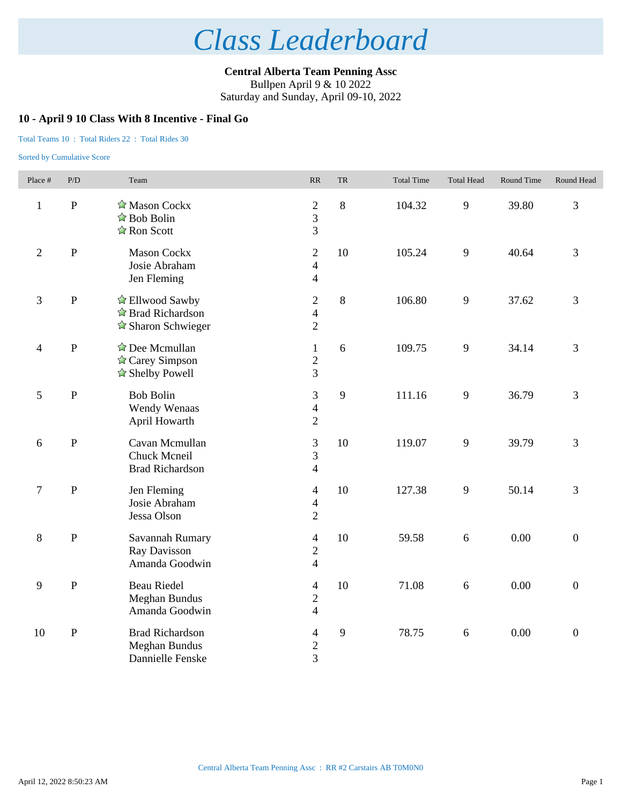**Central Alberta Team Penning Assc** Bullpen April 9 & 10 2022

Saturday and Sunday, April 09-10, 2022

### **10 - April 9 10 Class With 8 Incentive - Final Go**

### Total Teams 10 : Total Riders 22 : Total Rides 30

| Place #          | P/D            | Team                                                                                     | $\ensuremath{\mathsf{RR}}\xspace$                  | ${\rm TR}$   | <b>Total Time</b> | <b>Total Head</b> | Round Time | Round Head       |
|------------------|----------------|------------------------------------------------------------------------------------------|----------------------------------------------------|--------------|-------------------|-------------------|------------|------------------|
| $\mathbf{1}$     | $\overline{P}$ | Mason Cockx<br>$\triangle$ Bob Bolin<br>$\hat{\mathbb{Z}}$ Ron Scott                     | $\sqrt{2}$<br>$\overline{3}$<br>$\overline{3}$     | 8            | 104.32            | 9                 | 39.80      | 3                |
| $\overline{2}$   | ${\bf P}$      | <b>Mason Cockx</b><br>Josie Abraham<br>Jen Fleming                                       | $\overline{2}$<br>$\overline{4}$<br>$\overline{4}$ | 10           | 105.24            | 9                 | 40.64      | 3                |
| $\mathfrak{Z}$   | $\mathbf{P}$   | $\triangle$ Ellwood Sawby<br>$\triangle$ Brad Richardson<br>$\triangle$ Sharon Schwieger | $\sqrt{2}$<br>$\overline{4}$<br>$\overline{2}$     | 8            | 106.80            | 9                 | 37.62      | 3                |
| $\overline{4}$   | $\, {\bf P}$   | $\triangle$ Dee Mcmullan<br>$\triangle$ Carey Simpson<br>$\triangle$ Shelby Powell       | $\mathbf{1}$<br>$\sqrt{2}$<br>$\overline{3}$       | 6            | 109.75            | 9                 | 34.14      | 3                |
| $\sqrt{5}$       | ${\bf P}$      | <b>Bob Bolin</b><br>Wendy Wenaas<br>April Howarth                                        | $\mathfrak{Z}$<br>$\overline{4}$<br>$\overline{2}$ | 9            | 111.16            | 9                 | 36.79      | 3                |
| 6                | ${\bf P}$      | Cavan Mcmullan<br>Chuck Mcneil<br><b>Brad Richardson</b>                                 | 3<br>3<br>$\overline{4}$                           | 10           | 119.07            | 9                 | 39.79      | 3                |
| $\boldsymbol{7}$ | ${\bf P}$      | Jen Fleming<br>Josie Abraham<br>Jessa Olson                                              | $\overline{4}$<br>$\overline{4}$<br>$\overline{2}$ | 10           | 127.38            | 9                 | 50.14      | 3                |
| $8\,$            | ${\bf P}$      | Savannah Rumary<br>Ray Davisson<br>Amanda Goodwin                                        | $\overline{4}$<br>$\overline{2}$<br>$\overline{4}$ | 10           | 59.58             | 6                 | 0.00       | $\overline{0}$   |
| 9                | ${\bf P}$      | <b>Beau Riedel</b><br>Meghan Bundus<br>Amanda Goodwin                                    | $\overline{4}$<br>$\sqrt{2}$<br>$\overline{4}$     | 10           | 71.08             | 6                 | 0.00       | $\overline{0}$   |
| 10               | ${\bf P}$      | <b>Brad Richardson</b><br>Meghan Bundus<br>Dannielle Fenske                              | $\overline{\mathcal{L}}$<br>$\overline{c}$<br>3    | $\mathbf{9}$ | 78.75             | $6\,$             | 0.00       | $\boldsymbol{0}$ |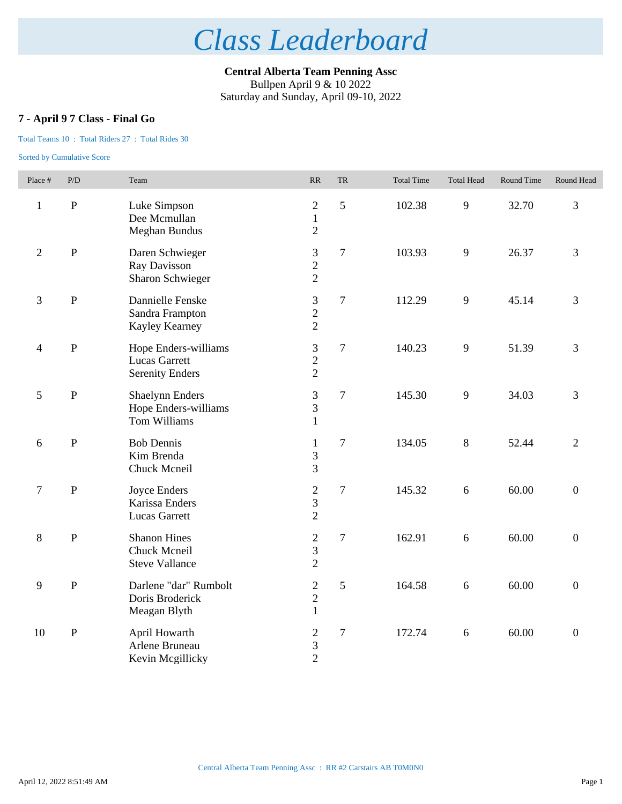**Central Alberta Team Penning Assc** Bullpen April 9 & 10 2022

Saturday and Sunday, April 09-10, 2022

## **7 - April 9 7 Class - Final Go**

### Total Teams 10 : Total Riders 27 : Total Rides 30

| Place #                  | P/D            | Team                                                                   | RR                                                 | <b>TR</b>      | <b>Total Time</b> | <b>Total Head</b> | Round Time | Round Head       |
|--------------------------|----------------|------------------------------------------------------------------------|----------------------------------------------------|----------------|-------------------|-------------------|------------|------------------|
| $\mathbf{1}$             | $\, {\bf P}$   | Luke Simpson<br>Dee Mcmullan<br><b>Meghan Bundus</b>                   | $\sqrt{2}$<br>$\mathbf{1}$<br>$\overline{2}$       | 5              | 102.38            | 9                 | 32.70      | 3                |
| $\overline{2}$           | $\mathbf{P}$   | Daren Schwieger<br>Ray Davisson<br>Sharon Schwieger                    | 3<br>$\overline{2}$<br>$\overline{2}$              | $\overline{7}$ | 103.93            | 9                 | 26.37      | $\overline{3}$   |
| 3                        | $\overline{P}$ | Dannielle Fenske<br>Sandra Frampton<br>Kayley Kearney                  | 3<br>$\overline{c}$<br>$\overline{2}$              | $\overline{7}$ | 112.29            | 9                 | 45.14      | $\overline{3}$   |
| $\overline{\mathcal{A}}$ | $\mathbf{P}$   | Hope Enders-williams<br><b>Lucas Garrett</b><br><b>Serenity Enders</b> | $\mathfrak{Z}$<br>$\overline{2}$<br>$\overline{2}$ | $\tau$         | 140.23            | 9                 | 51.39      | 3                |
| 5                        | $\mathbf{P}$   | <b>Shaelynn Enders</b><br>Hope Enders-williams<br>Tom Williams         | $\mathfrak{Z}$<br>3<br>$\mathbf{1}$                | $\tau$         | 145.30            | 9                 | 34.03      | 3                |
| 6                        | $\mathbf{P}$   | <b>Bob Dennis</b><br>Kim Brenda<br>Chuck Mcneil                        | $\mathbf{1}$<br>3<br>3                             | $\tau$         | 134.05            | 8                 | 52.44      | $\overline{2}$   |
| $\boldsymbol{7}$         | $\mathbf{P}$   | Joyce Enders<br>Karissa Enders<br><b>Lucas Garrett</b>                 | $\sqrt{2}$<br>$\mathfrak{Z}$<br>$\overline{2}$     | $\tau$         | 145.32            | 6                 | 60.00      | $\boldsymbol{0}$ |
| 8                        | $\mathbf{P}$   | <b>Shanon Hines</b><br>Chuck Mcneil<br><b>Steve Vallance</b>           | $\sqrt{2}$<br>$\overline{3}$<br>$\overline{2}$     | $\tau$         | 162.91            | 6                 | 60.00      | $\boldsymbol{0}$ |
| 9                        | $\mathbf P$    | Darlene "dar" Rumbolt<br>Doris Broderick<br>Meagan Blyth               | $\sqrt{2}$<br>$\overline{2}$<br>$\mathbf{1}$       | 5              | 164.58            | 6                 | 60.00      | $\mathbf{0}$     |
| 10                       | $\, {\bf P}$   | April Howarth<br>Arlene Bruneau<br>Kevin Mcgillicky                    | $\overline{2}$<br>$\mathfrak{Z}$<br>$\overline{2}$ | $\overline{7}$ | 172.74            | $\sqrt{6}$        | 60.00      | $\boldsymbol{0}$ |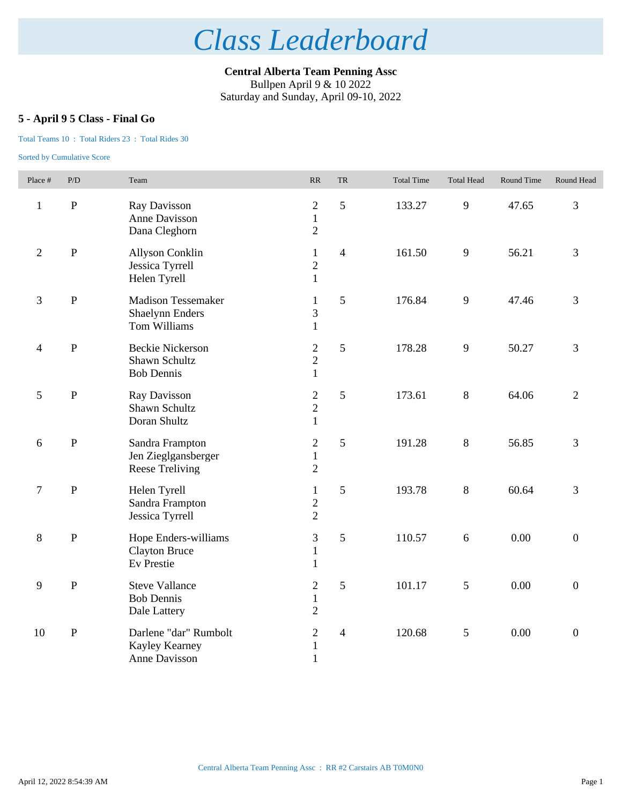**Central Alberta Team Penning Assc** Bullpen April 9 & 10 2022

Saturday and Sunday, April 09-10, 2022

## **5 - April 9 5 Class - Final Go**

### Total Teams 10 : Total Riders 23 : Total Rides 30

| Place #        | P/D          | Team                                                                | RR                                               | ${\rm TR}$     | <b>Total Time</b> | <b>Total Head</b> | Round Time | Round Head       |
|----------------|--------------|---------------------------------------------------------------------|--------------------------------------------------|----------------|-------------------|-------------------|------------|------------------|
| $\mathbf{1}$   | ${\bf P}$    | Ray Davisson<br>Anne Davisson<br>Dana Cleghorn                      | $\mathbf{2}$<br>$\mathbf{1}$<br>$\overline{2}$   | 5              | 133.27            | 9                 | 47.65      | 3                |
| $\overline{2}$ | $\mathbf{P}$ | Allyson Conklin<br>Jessica Tyrrell<br>Helen Tyrell                  | $\mathbf{1}$<br>$\overline{c}$<br>$\mathbf{1}$   | $\overline{4}$ | 161.50            | 9                 | 56.21      | 3                |
| 3              | ${\bf P}$    | <b>Madison Tessemaker</b><br><b>Shaelynn Enders</b><br>Tom Williams | 1<br>3<br>$\mathbf{1}$                           | 5              | 176.84            | 9                 | 47.46      | 3                |
| 4              | $\mathbf P$  | <b>Beckie Nickerson</b><br>Shawn Schultz<br><b>Bob Dennis</b>       | $\overline{2}$<br>$\overline{2}$<br>$\mathbf{1}$ | 5              | 178.28            | 9                 | 50.27      | 3                |
| 5              | ${\bf P}$    | Ray Davisson<br>Shawn Schultz<br>Doran Shultz                       | $\sqrt{2}$<br>$\overline{2}$<br>$\mathbf{1}$     | 5              | 173.61            | 8                 | 64.06      | $\overline{2}$   |
| 6              | $\, {\bf P}$ | Sandra Frampton<br>Jen Zieglgansberger<br>Reese Treliving           | $\mathbf{2}$<br>$\mathbf{1}$<br>$\overline{2}$   | 5              | 191.28            | $8\,$             | 56.85      | 3                |
| $\tau$         | $\, {\bf P}$ | Helen Tyrell<br>Sandra Frampton<br>Jessica Tyrrell                  | $\mathbf{1}$<br>$\sqrt{2}$<br>$\overline{2}$     | 5              | 193.78            | $8\,$             | 60.64      | 3                |
| 8              | $\, {\bf P}$ | Hope Enders-williams<br><b>Clayton Bruce</b><br>Ev Prestie          | 3<br>$\mathbf{1}$<br>$\mathbf{1}$                | 5              | 110.57            | 6                 | 0.00       | $\mathbf{0}$     |
| 9              | $\mathbf P$  | <b>Steve Vallance</b><br><b>Bob Dennis</b><br>Dale Lattery          | $\mathfrak{2}$<br>$\mathbf{1}$<br>$\overline{2}$ | 5              | 101.17            | 5                 | 0.00       | $\overline{0}$   |
| 10             | ${\bf P}$    | Darlene "dar" Rumbolt<br>Kayley Kearney<br>Anne Davisson            | $\overline{2}$<br>$\mathbf{1}$<br>$\mathbf{1}$   | $\overline{4}$ | 120.68            | 5                 | 0.00       | $\boldsymbol{0}$ |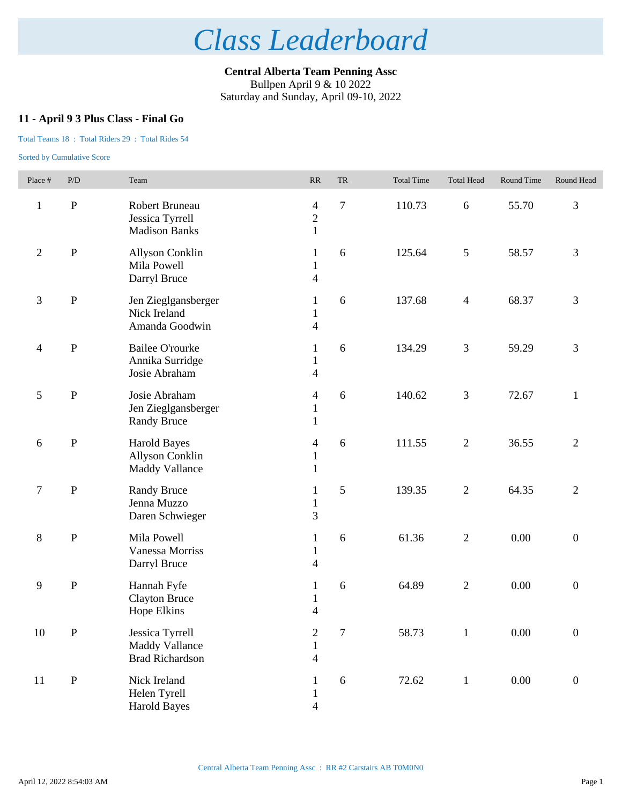**Central Alberta Team Penning Assc** Bullpen April 9 & 10 2022 Saturday and Sunday, April 09-10, 2022

## **11 - April 9 3 Plus Class - Final Go**

### Total Teams 18 : Total Riders 29 : Total Rides 54

| Place #                  | $\mathbf{P}/\mathbf{D}$ | Team                                                                   | $\ensuremath{\mathsf{RR}}\xspace$                            | TR             | <b>Total Time</b> | <b>Total Head</b> | Round Time | Round Head       |
|--------------------------|-------------------------|------------------------------------------------------------------------|--------------------------------------------------------------|----------------|-------------------|-------------------|------------|------------------|
| $\mathbf{1}$             | ${\bf P}$               | Robert Bruneau<br>Jessica Tyrrell<br><b>Madison Banks</b>              | $\overline{\mathcal{A}}$<br>$\sqrt{2}$<br>$\mathbf{1}$       | $\overline{7}$ | 110.73            | $\sqrt{6}$        | 55.70      | 3                |
| $\sqrt{2}$               | ${\bf P}$               | <b>Allyson Conklin</b><br>Mila Powell<br>Darryl Bruce                  | 1<br>$\mathbf{1}$<br>$\overline{4}$                          | 6              | 125.64            | $\mathfrak{S}$    | 58.57      | 3                |
| $\mathfrak{Z}$           | ${\bf P}$               | Jen Zieglgansberger<br>Nick Ireland<br>Amanda Goodwin                  | 1<br>$\mathbf{1}$<br>$\overline{4}$                          | 6              | 137.68            | $\overline{4}$    | 68.37      | 3                |
| $\overline{\mathcal{A}}$ | ${\bf P}$               | <b>Bailee O'rourke</b><br>Annika Surridge<br>Josie Abraham             | 1<br>$\mathbf{1}$<br>$\overline{4}$                          | 6              | 134.29            | $\mathfrak{Z}$    | 59.29      | 3                |
| 5                        | $\, {\bf P}$            | Josie Abraham<br>Jen Zieglgansberger<br><b>Randy Bruce</b>             | $\overline{\mathcal{A}}$<br>$\mathbf{1}$<br>$\mathbf{1}$     | 6              | 140.62            | $\mathfrak{Z}$    | 72.67      | $\mathbf{1}$     |
| $\sqrt{6}$               | ${\bf P}$               | <b>Harold Bayes</b><br><b>Allyson Conklin</b><br><b>Maddy Vallance</b> | $\overline{\mathcal{A}}$<br>$\mathbf{1}$<br>$\mathbf{1}$     | 6              | 111.55            | $\mathbf{2}$      | 36.55      | $\overline{2}$   |
| $\tau$                   | $\, {\bf P}$            | <b>Randy Bruce</b><br>Jenna Muzzo<br>Daren Schwieger                   | 1<br>$\mathbf{1}$<br>3                                       | 5              | 139.35            | $\overline{2}$    | 64.35      | $\overline{2}$   |
| $\,8\,$                  | ${\bf P}$               | Mila Powell<br>Vanessa Morriss<br>Darryl Bruce                         | 1<br>$\mathbf{1}$<br>$\overline{\mathcal{L}}$                | 6              | 61.36             | $\sqrt{2}$        | 0.00       | $\boldsymbol{0}$ |
| 9                        | ${\bf P}$               | Hannah Fyfe<br><b>Clayton Bruce</b><br>Hope Elkins                     | 1<br>$\mathbf{1}$<br>$\overline{4}$                          | 6              | 64.89             | $\sqrt{2}$        | 0.00       | $\boldsymbol{0}$ |
| $10\,$                   | $\mathbf P$             | Jessica Tyrrell<br><b>Maddy Vallance</b><br><b>Brad Richardson</b>     | $\boldsymbol{2}$<br>$\mathbf{1}$<br>$\overline{\mathcal{L}}$ | $\tau$         | 58.73             | $\mathbf{1}$      | $0.00\,$   | $\boldsymbol{0}$ |
| 11                       | ${\bf P}$               | Nick Ireland<br>Helen Tyrell<br><b>Harold Bayes</b>                    | 1<br>$\mathbf{1}$<br>$\overline{4}$                          | 6              | 72.62             | $\,1\,$           | $0.00\,$   | $\boldsymbol{0}$ |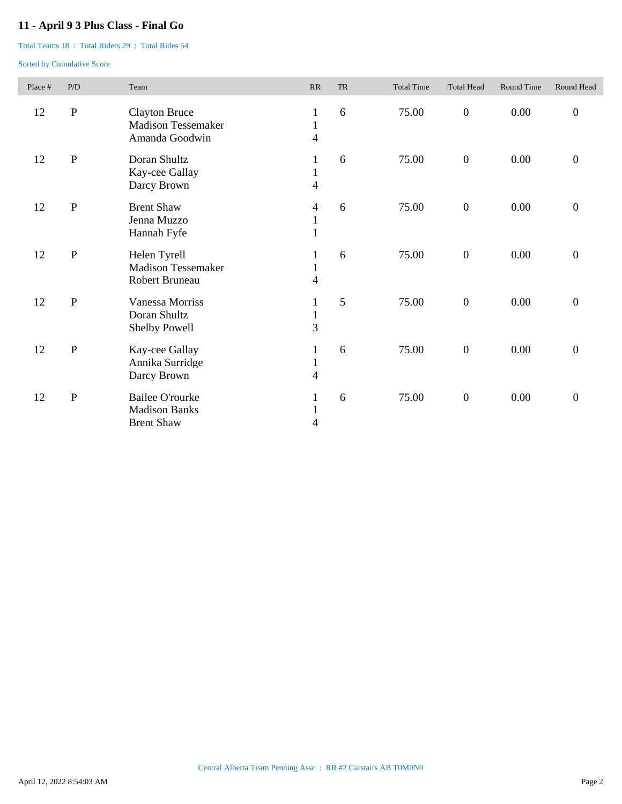## **11 - April 9 3 Plus Class - Final Go**

Total Teams 18 : Total Riders 29 : Total Rides 54

| Place # | P/D       | Team                                                                | RR                                | <b>TR</b> | <b>Total Time</b> | <b>Total Head</b> | Round Time | Round Head       |
|---------|-----------|---------------------------------------------------------------------|-----------------------------------|-----------|-------------------|-------------------|------------|------------------|
| 12      | ${\bf P}$ | <b>Clayton Bruce</b><br><b>Madison Tessemaker</b><br>Amanda Goodwin | 1<br>$\mathbf{1}$<br>4            | 6         | 75.00             | $\boldsymbol{0}$  | 0.00       | $\boldsymbol{0}$ |
| 12      | ${\bf P}$ | Doran Shultz<br>Kay-cee Gallay<br>Darcy Brown                       | 1<br>$\mathbf{1}$<br>4            | 6         | 75.00             | $\boldsymbol{0}$  | 0.00       | $\overline{0}$   |
| 12      | ${\bf P}$ | <b>Brent Shaw</b><br>Jenna Muzzo<br>Hannah Fyfe                     | 4<br>$\mathbf{1}$<br>$\mathbf{1}$ | 6         | 75.00             | $\boldsymbol{0}$  | 0.00       | $\boldsymbol{0}$ |
| 12      | ${\bf P}$ | Helen Tyrell<br><b>Madison Tessemaker</b><br>Robert Bruneau         | 1<br>$\mathbf{1}$<br>4            | 6         | 75.00             | $\boldsymbol{0}$  | 0.00       | $\boldsymbol{0}$ |
| 12      | ${\bf P}$ | <b>Vanessa Morriss</b><br>Doran Shultz<br>Shelby Powell             | 1<br>$\mathbf{1}$<br>3            | 5         | 75.00             | $\boldsymbol{0}$  | 0.00       | $\boldsymbol{0}$ |
| 12      | ${\bf P}$ | Kay-cee Gallay<br>Annika Surridge<br>Darcy Brown                    | 1<br>$\mathbf{1}$<br>4            | 6         | 75.00             | $\boldsymbol{0}$  | 0.00       | $\boldsymbol{0}$ |
| 12      | ${\bf P}$ | <b>Bailee O'rourke</b><br><b>Madison Banks</b><br><b>Brent Shaw</b> | 1<br>$\mathbf{1}$<br>4            | 6         | 75.00             | $\boldsymbol{0}$  | 0.00       | $\boldsymbol{0}$ |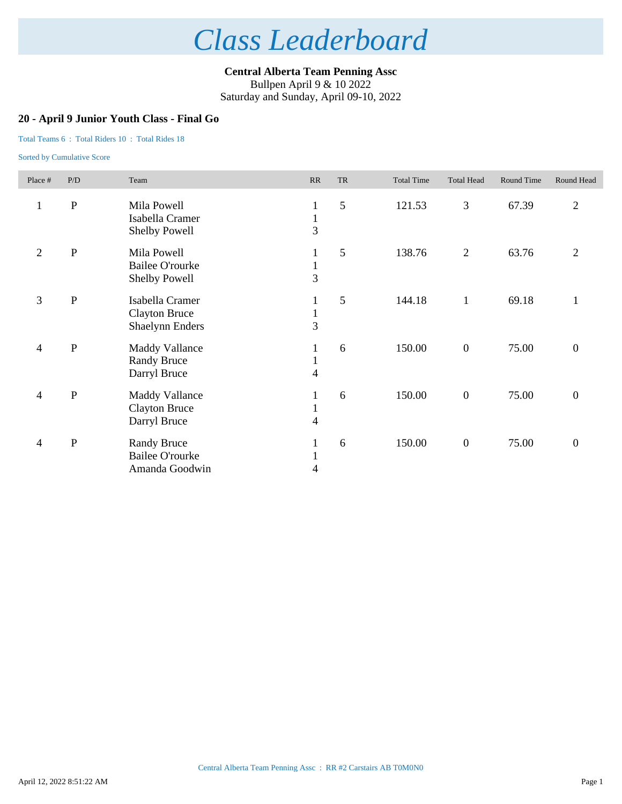**Central Alberta Team Penning Assc** Bullpen April 9 & 10 2022

Saturday and Sunday, April 09-10, 2022

### **20 - April 9 Junior Youth Class - Final Go**

### Total Teams 6 : Total Riders 10 : Total Rides 18

| Place #                  | P/D          | Team                                                              | RR                                             | <b>TR</b> | <b>Total Time</b> | <b>Total Head</b> | <b>Round Time</b> | Round Head       |
|--------------------------|--------------|-------------------------------------------------------------------|------------------------------------------------|-----------|-------------------|-------------------|-------------------|------------------|
| $\mathbf{1}$             | ${\bf P}$    | Mila Powell<br>Isabella Cramer<br>Shelby Powell                   | $\mathbf{1}$<br>$\mathbf{1}$<br>$\overline{3}$ | 5         | 121.53            | 3                 | 67.39             | $\overline{2}$   |
| $\mathfrak{2}$           | $\, {\bf P}$ | Mila Powell<br><b>Bailee O'rourke</b><br>Shelby Powell            | 1<br>$\mathbf{1}$<br>$\overline{3}$            | 5         | 138.76            | $\overline{c}$    | 63.76             | $\mathfrak{2}$   |
| 3                        | ${\bf P}$    | Isabella Cramer<br><b>Clayton Bruce</b><br><b>Shaelynn Enders</b> | 1<br>$\mathbf{1}$<br>$\overline{3}$            | 5         | 144.18            | $\mathbf{1}$      | 69.18             | $\mathbf{1}$     |
| $\overline{\mathcal{A}}$ | ${\bf P}$    | <b>Maddy Vallance</b><br><b>Randy Bruce</b><br>Darryl Bruce       | 1<br>$\mathbf{1}$<br>$\overline{\mathcal{L}}$  | 6         | 150.00            | $\boldsymbol{0}$  | 75.00             | $\boldsymbol{0}$ |
| $\overline{\mathcal{A}}$ | ${\bf P}$    | <b>Maddy Vallance</b><br><b>Clayton Bruce</b><br>Darryl Bruce     | 1<br>$\mathbf{1}$<br>4                         | 6         | 150.00            | $\boldsymbol{0}$  | 75.00             | $\boldsymbol{0}$ |
| $\overline{\mathcal{A}}$ | ${\bf P}$    | <b>Randy Bruce</b><br><b>Bailee O'rourke</b><br>Amanda Goodwin    | $\mathbf{1}$<br>$\mathbf{1}$<br>4              | 6         | 150.00            | $\boldsymbol{0}$  | 75.00             | $\overline{0}$   |